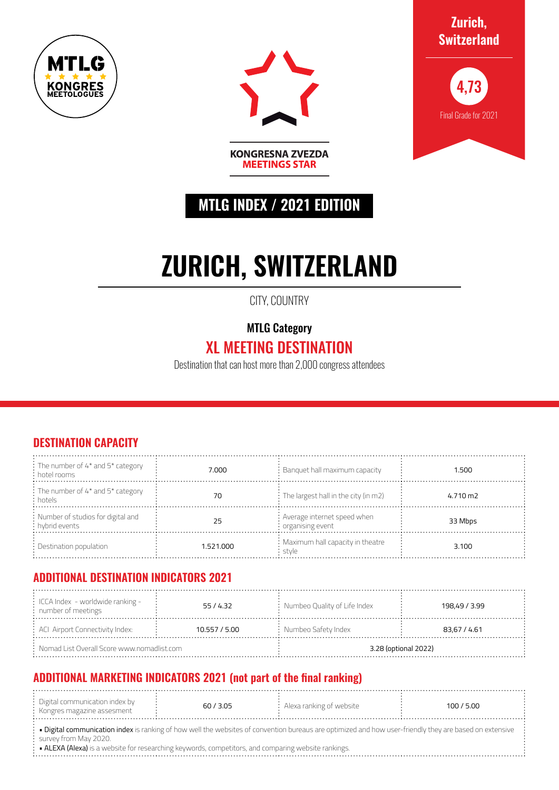



**Zurich, Switzerland**



# **MTLG INDEX / 2021 EDITION**

**KONGRESNA ZVEZDA MEETINGS STAR** 

# **ZURICH, SWITZERLAND**

CITY, COUNTRY

MTLG Category

## XL MEETING DESTINATION

Destination that can host more than 2,000 congress attendees

#### **DESTINATION CAPACITY**

| $\frac{1}{2}$ : The number of 4* and 5* category<br>: hotel rooms | 7.000     | $:$ Banquet hall maximum capacity                               | 1.500    |
|-------------------------------------------------------------------|-----------|-----------------------------------------------------------------|----------|
| : The number of 4* and 5* category<br>: hotels                    |           | $\frac{1}{2}$ : The largest hall in the city (in m2)            | 4.710 m2 |
| : Number of studios for digital and<br>: hybrid events            | 25        | : Average internet speed when<br>$\frac{1}{2}$ organising event | 33 Mbps  |
| $\therefore$ Destination population                               | 1.521.000 | : Maximum hall capacity in theatre<br>stvle                     | 3.100    |

#### **ADDITIONAL DESTINATION INDICATORS 2021**

| $\frac{1}{2}$ ICCA Index - worldwide ranking -<br>: number of meetings | 55/4.32       | : Numbeo Quality of Life Index | 198,49 / 3.99 |  |
|------------------------------------------------------------------------|---------------|--------------------------------|---------------|--|
| $\div$ ACI Airport Connectivity Index:                                 | 10.557 / 5.00 | $:$ Numbeo Safety Index        | 83.67 / 4.61  |  |
| $:$ Nomad List Overall Score www.nomadlist.com                         |               | 3.28 (optional 2022)           |               |  |

### **ADDITIONAL MARKETING INDICATORS 2021 (not part of the final ranking)**

| . Digital communication index by<br>: Kongres magazine assesment | 60/3.05 | : Alexa ranking of website | 100/5.00 |  |
|------------------------------------------------------------------|---------|----------------------------|----------|--|
|                                                                  |         |                            |          |  |

• Digital communication index is ranking of how well the websites of convention bureaus are optimized and how user-friendly they are based on extensive survey from May 2020.

• ALEXA (Alexa) is a website for researching keywords, competitors, and comparing website rankings.